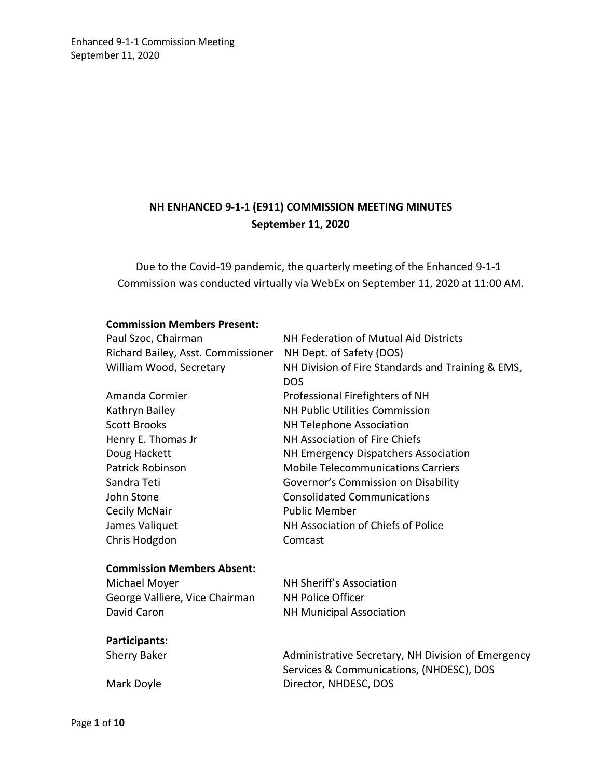# **NH ENHANCED 9-1-1 (E911) COMMISSION MEETING MINUTES September 11, 2020**

Due to the Covid-19 pandemic, the quarterly meeting of the Enhanced 9-1-1 Commission was conducted virtually via WebEx on September 11, 2020 at 11:00 AM.

#### **Commission Members Present:**

| Paul Szoc, Chairman                | NH Federation of Mutual Aid Districts              |
|------------------------------------|----------------------------------------------------|
| Richard Bailey, Asst. Commissioner | NH Dept. of Safety (DOS)                           |
| William Wood, Secretary            | NH Division of Fire Standards and Training & EMS,  |
|                                    | <b>DOS</b>                                         |
| Amanda Cormier                     | Professional Firefighters of NH                    |
| Kathryn Bailey                     | <b>NH Public Utilities Commission</b>              |
| <b>Scott Brooks</b>                | <b>NH Telephone Association</b>                    |
| Henry E. Thomas Jr                 | NH Association of Fire Chiefs                      |
| Doug Hackett                       | NH Emergency Dispatchers Association               |
| <b>Patrick Robinson</b>            | <b>Mobile Telecommunications Carriers</b>          |
| Sandra Teti                        | Governor's Commission on Disability                |
| John Stone                         | <b>Consolidated Communications</b>                 |
| <b>Cecily McNair</b>               | <b>Public Member</b>                               |
| James Valiquet                     | NH Association of Chiefs of Police                 |
| Chris Hodgdon                      | Comcast                                            |
| <b>Commission Members Absent:</b>  |                                                    |
| Michael Moyer                      | NH Sheriff's Association                           |
| George Valliere, Vice Chairman     | <b>NH Police Officer</b>                           |
| David Caron                        | <b>NH Municipal Association</b>                    |
| Participants:                      |                                                    |
| <b>Sherry Baker</b>                | Administrative Secretary, NH Division of Emergency |
|                                    | Services & Communications, (NHDESC), DOS           |
| Mark Doyle                         | Director, NHDESC, DOS                              |
|                                    |                                                    |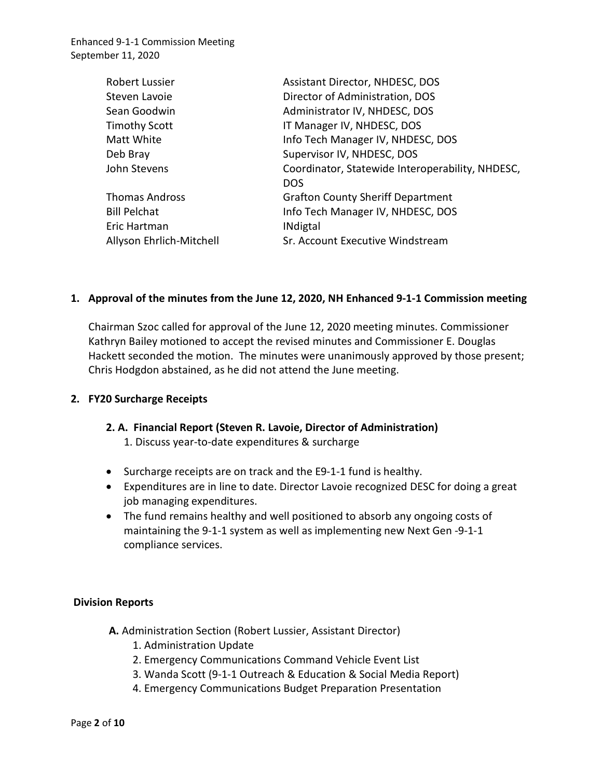| Robert Lussier           | Assistant Director, NHDESC, DOS                  |
|--------------------------|--------------------------------------------------|
| Steven Lavoie            | Director of Administration, DOS                  |
| Sean Goodwin             | Administrator IV, NHDESC, DOS                    |
| <b>Timothy Scott</b>     | IT Manager IV, NHDESC, DOS                       |
| Matt White               | Info Tech Manager IV, NHDESC, DOS                |
| Deb Bray                 | Supervisor IV, NHDESC, DOS                       |
| John Stevens             | Coordinator, Statewide Interoperability, NHDESC, |
|                          | <b>DOS</b>                                       |
| <b>Thomas Andross</b>    | <b>Grafton County Sheriff Department</b>         |
| <b>Bill Pelchat</b>      | Info Tech Manager IV, NHDESC, DOS                |
| Eric Hartman             | <b>INdigtal</b>                                  |
| Allyson Ehrlich-Mitchell | Sr. Account Executive Windstream                 |

#### **1. Approval of the minutes from the June 12, 2020, NH Enhanced 9-1-1 Commission meeting**

Chairman Szoc called for approval of the June 12, 2020 meeting minutes. Commissioner Kathryn Bailey motioned to accept the revised minutes and Commissioner E. Douglas Hackett seconded the motion. The minutes were unanimously approved by those present; Chris Hodgdon abstained, as he did not attend the June meeting.

#### **2. FY20 Surcharge Receipts**

#### **2. A. Financial Report (Steven R. Lavoie, Director of Administration)**

- 1. Discuss year-to-date expenditures & surcharge
- Surcharge receipts are on track and the E9-1-1 fund is healthy.
- Expenditures are in line to date. Director Lavoie recognized DESC for doing a great job managing expenditures.
- The fund remains healthy and well positioned to absorb any ongoing costs of maintaining the 9-1-1 system as well as implementing new Next Gen -9-1-1 compliance services.

### **Division Reports**

- **A.** Administration Section (Robert Lussier, Assistant Director)
	- 1. Administration Update
	- 2. Emergency Communications Command Vehicle Event List
	- 3. Wanda Scott (9-1-1 Outreach & Education & Social Media Report)
	- 4. Emergency Communications Budget Preparation Presentation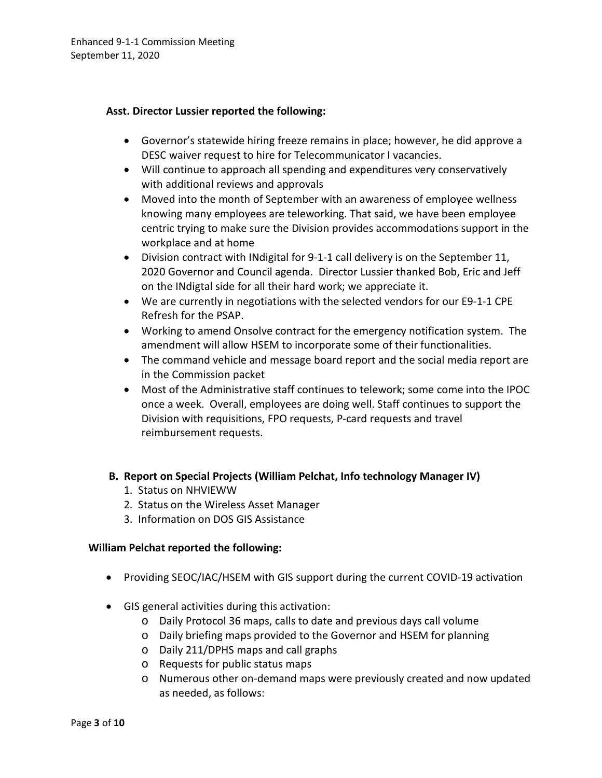### **Asst. Director Lussier reported the following:**

- Governor's statewide hiring freeze remains in place; however, he did approve a DESC waiver request to hire for Telecommunicator I vacancies.
- Will continue to approach all spending and expenditures very conservatively with additional reviews and approvals
- Moved into the month of September with an awareness of employee wellness knowing many employees are teleworking. That said, we have been employee centric trying to make sure the Division provides accommodations support in the workplace and at home
- Division contract with INdigital for 9-1-1 call delivery is on the September 11, 2020 Governor and Council agenda. Director Lussier thanked Bob, Eric and Jeff on the INdigtal side for all their hard work; we appreciate it.
- We are currently in negotiations with the selected vendors for our E9-1-1 CPE Refresh for the PSAP.
- Working to amend Onsolve contract for the emergency notification system. The amendment will allow HSEM to incorporate some of their functionalities.
- The command vehicle and message board report and the social media report are in the Commission packet
- Most of the Administrative staff continues to telework; some come into the IPOC once a week. Overall, employees are doing well. Staff continues to support the Division with requisitions, FPO requests, P-card requests and travel reimbursement requests.
- **B. Report on Special Projects (William Pelchat, Info technology Manager IV)**
	- 1. Status on NHVIEWW
	- 2. Status on the Wireless Asset Manager
	- 3. Information on DOS GIS Assistance

### **William Pelchat reported the following:**

- Providing SEOC/IAC/HSEM with GIS support during the current COVID-19 activation
- GIS general activities during this activation:
	- o Daily Protocol 36 maps, calls to date and previous days call volume
	- o Daily briefing maps provided to the Governor and HSEM for planning
	- o Daily 211/DPHS maps and call graphs
	- o Requests for public status maps
	- o Numerous other on-demand maps were previously created and now updated as needed, as follows: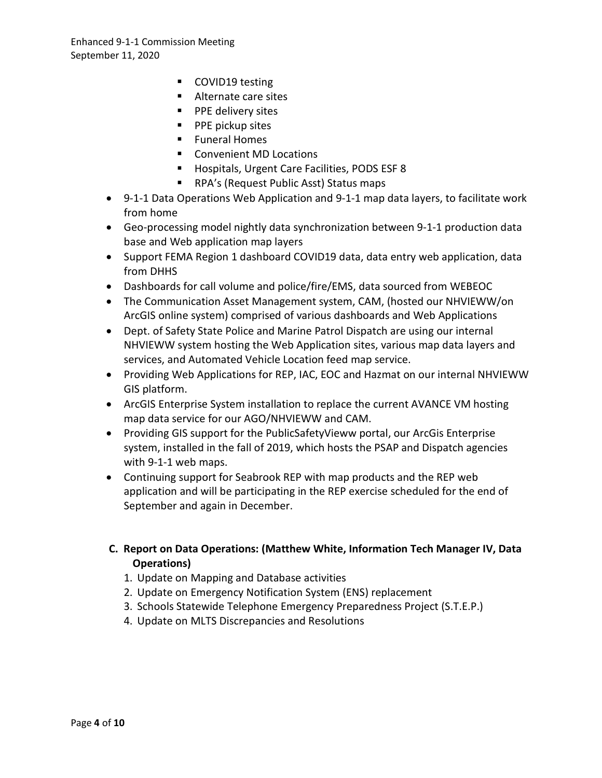- COVID19 testing
- Alternate care sites
- **PPE delivery sites**
- **PPE pickup sites**
- **Funeral Homes**
- Convenient MD Locations
- **Hospitals, Urgent Care Facilities, PODS ESF 8**
- RPA's (Request Public Asst) Status maps
- 9-1-1 Data Operations Web Application and 9-1-1 map data layers, to facilitate work from home
- Geo-processing model nightly data synchronization between 9-1-1 production data base and Web application map layers
- Support FEMA Region 1 dashboard COVID19 data, data entry web application, data from DHHS
- Dashboards for call volume and police/fire/EMS, data sourced from WEBEOC
- The Communication Asset Management system, CAM, (hosted our NHVIEWW/on ArcGIS online system) comprised of various dashboards and Web Applications
- Dept. of Safety State Police and Marine Patrol Dispatch are using our internal NHVIEWW system hosting the Web Application sites, various map data layers and services, and Automated Vehicle Location feed map service.
- Providing Web Applications for REP, IAC, EOC and Hazmat on our internal NHVIEWW GIS platform.
- ArcGIS Enterprise System installation to replace the current AVANCE VM hosting map data service for our AGO/NHVIEWW and CAM.
- Providing GIS support for the PublicSafetyVieww portal, our ArcGis Enterprise system, installed in the fall of 2019, which hosts the PSAP and Dispatch agencies with 9-1-1 web maps.
- Continuing support for Seabrook REP with map products and the REP web application and will be participating in the REP exercise scheduled for the end of September and again in December.

## **C. Report on Data Operations: (Matthew White, Information Tech Manager IV, Data Operations)**

- 1. Update on Mapping and Database activities
- 2. Update on Emergency Notification System (ENS) replacement
- 3. Schools Statewide Telephone Emergency Preparedness Project (S.T.E.P.)
- 4. Update on MLTS Discrepancies and Resolutions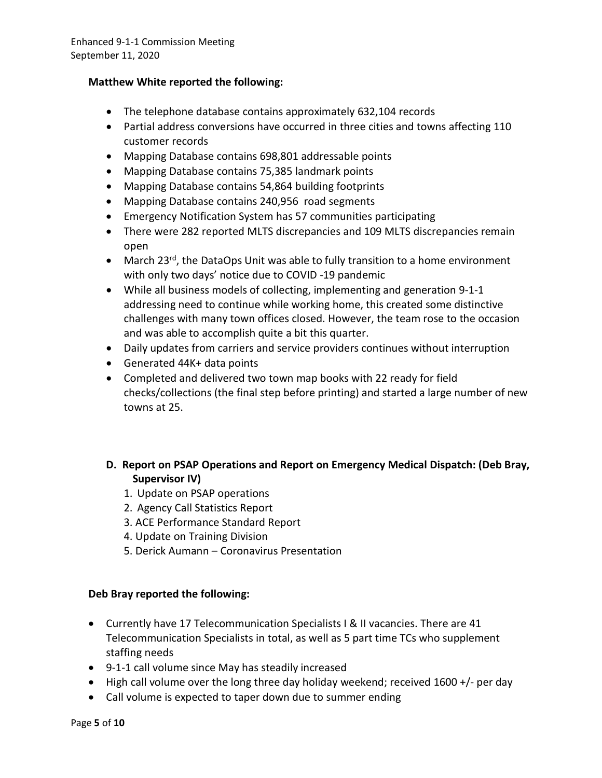### **Matthew White reported the following:**

- The telephone database contains approximately 632,104 records
- Partial address conversions have occurred in three cities and towns affecting 110 customer records
- Mapping Database contains 698,801 addressable points
- Mapping Database contains 75,385 landmark points
- Mapping Database contains 54,864 building footprints
- Mapping Database contains 240,956 road segments
- Emergency Notification System has 57 communities participating
- There were 282 reported MLTS discrepancies and 109 MLTS discrepancies remain open
- March 23<sup>rd</sup>, the DataOps Unit was able to fully transition to a home environment with only two days' notice due to COVID -19 pandemic
- While all business models of collecting, implementing and generation 9-1-1 addressing need to continue while working home, this created some distinctive challenges with many town offices closed. However, the team rose to the occasion and was able to accomplish quite a bit this quarter.
- Daily updates from carriers and service providers continues without interruption
- Generated 44K+ data points
- Completed and delivered two town map books with 22 ready for field checks/collections (the final step before printing) and started a large number of new towns at 25.
- **D. Report on PSAP Operations and Report on Emergency Medical Dispatch: (Deb Bray, Supervisor IV)**
	- 1. Update on PSAP operations
	- 2. Agency Call Statistics Report
	- 3. ACE Performance Standard Report
	- 4. Update on Training Division
	- 5. Derick Aumann Coronavirus Presentation

### **Deb Bray reported the following:**

- Currently have 17 Telecommunication Specialists I & II vacancies. There are 41 Telecommunication Specialists in total, as well as 5 part time TCs who supplement staffing needs
- 9-1-1 call volume since May has steadily increased
- High call volume over the long three day holiday weekend; received 1600 +/- per day
- Call volume is expected to taper down due to summer ending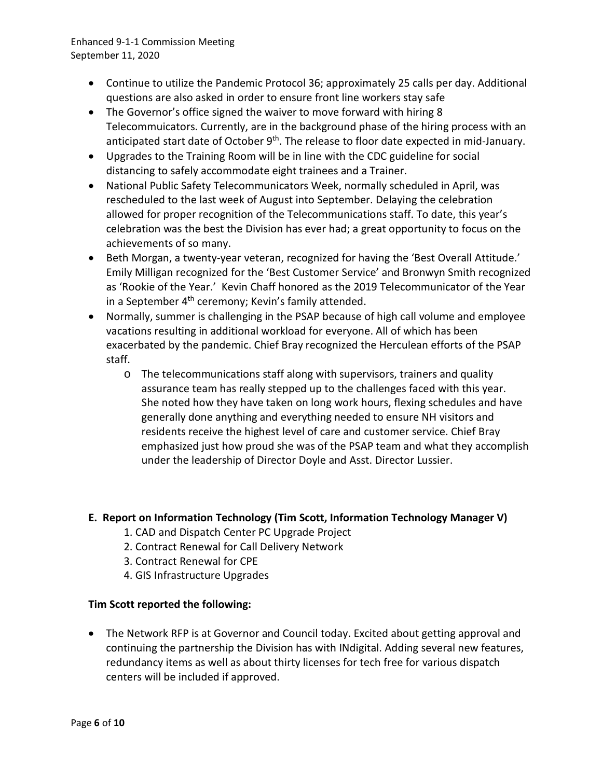- Continue to utilize the Pandemic Protocol 36; approximately 25 calls per day. Additional questions are also asked in order to ensure front line workers stay safe
- The Governor's office signed the waiver to move forward with hiring 8 Telecommuicators. Currently, are in the background phase of the hiring process with an anticipated start date of October 9<sup>th</sup>. The release to floor date expected in mid-January.
- Upgrades to the Training Room will be in line with the CDC guideline for social distancing to safely accommodate eight trainees and a Trainer.
- National Public Safety Telecommunicators Week, normally scheduled in April, was rescheduled to the last week of August into September. Delaying the celebration allowed for proper recognition of the Telecommunications staff. To date, this year's celebration was the best the Division has ever had; a great opportunity to focus on the achievements of so many.
- Beth Morgan, a twenty-year veteran, recognized for having the 'Best Overall Attitude.' Emily Milligan recognized for the 'Best Customer Service' and Bronwyn Smith recognized as 'Rookie of the Year.' Kevin Chaff honored as the 2019 Telecommunicator of the Year in a September 4<sup>th</sup> ceremony; Kevin's family attended.
- Normally, summer is challenging in the PSAP because of high call volume and employee vacations resulting in additional workload for everyone. All of which has been exacerbated by the pandemic. Chief Bray recognized the Herculean efforts of the PSAP staff.
	- o The telecommunications staff along with supervisors, trainers and quality assurance team has really stepped up to the challenges faced with this year. She noted how they have taken on long work hours, flexing schedules and have generally done anything and everything needed to ensure NH visitors and residents receive the highest level of care and customer service. Chief Bray emphasized just how proud she was of the PSAP team and what they accomplish under the leadership of Director Doyle and Asst. Director Lussier.

## **E. Report on Information Technology (Tim Scott, Information Technology Manager V)**

- 1. CAD and Dispatch Center PC Upgrade Project
- 2. Contract Renewal for Call Delivery Network
- 3. Contract Renewal for CPE
- 4. GIS Infrastructure Upgrades

## **Tim Scott reported the following:**

• The Network RFP is at Governor and Council today. Excited about getting approval and continuing the partnership the Division has with INdigital. Adding several new features, redundancy items as well as about thirty licenses for tech free for various dispatch centers will be included if approved.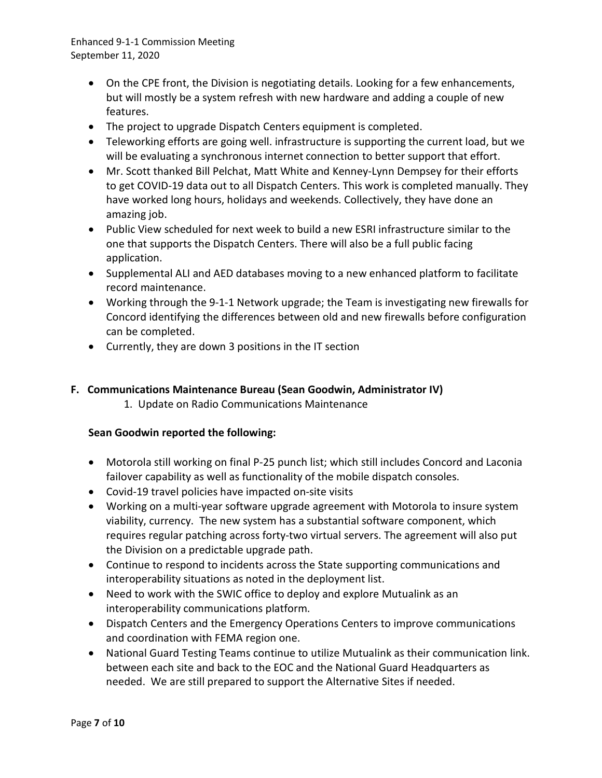- On the CPE front, the Division is negotiating details. Looking for a few enhancements, but will mostly be a system refresh with new hardware and adding a couple of new features.
- The project to upgrade Dispatch Centers equipment is completed.
- Teleworking efforts are going well. infrastructure is supporting the current load, but we will be evaluating a synchronous internet connection to better support that effort.
- Mr. Scott thanked Bill Pelchat, Matt White and Kenney-Lynn Dempsey for their efforts to get COVID-19 data out to all Dispatch Centers. This work is completed manually. They have worked long hours, holidays and weekends. Collectively, they have done an amazing job.
- Public View scheduled for next week to build a new ESRI infrastructure similar to the one that supports the Dispatch Centers. There will also be a full public facing application.
- Supplemental ALI and AED databases moving to a new enhanced platform to facilitate record maintenance.
- Working through the 9-1-1 Network upgrade; the Team is investigating new firewalls for Concord identifying the differences between old and new firewalls before configuration can be completed.
- Currently, they are down 3 positions in the IT section

## **F. Communications Maintenance Bureau (Sean Goodwin, Administrator IV)**

1. Update on Radio Communications Maintenance

### **Sean Goodwin reported the following:**

- Motorola still working on final P-25 punch list; which still includes Concord and Laconia failover capability as well as functionality of the mobile dispatch consoles.
- Covid-19 travel policies have impacted on-site visits
- Working on a multi-year software upgrade agreement with Motorola to insure system viability, currency. The new system has a substantial software component, which requires regular patching across forty-two virtual servers. The agreement will also put the Division on a predictable upgrade path.
- Continue to respond to incidents across the State supporting communications and interoperability situations as noted in the deployment list.
- Need to work with the SWIC office to deploy and explore Mutualink as an interoperability communications platform.
- Dispatch Centers and the Emergency Operations Centers to improve communications and coordination with FEMA region one.
- National Guard Testing Teams continue to utilize Mutualink as their communication link. between each site and back to the EOC and the National Guard Headquarters as needed. We are still prepared to support the Alternative Sites if needed.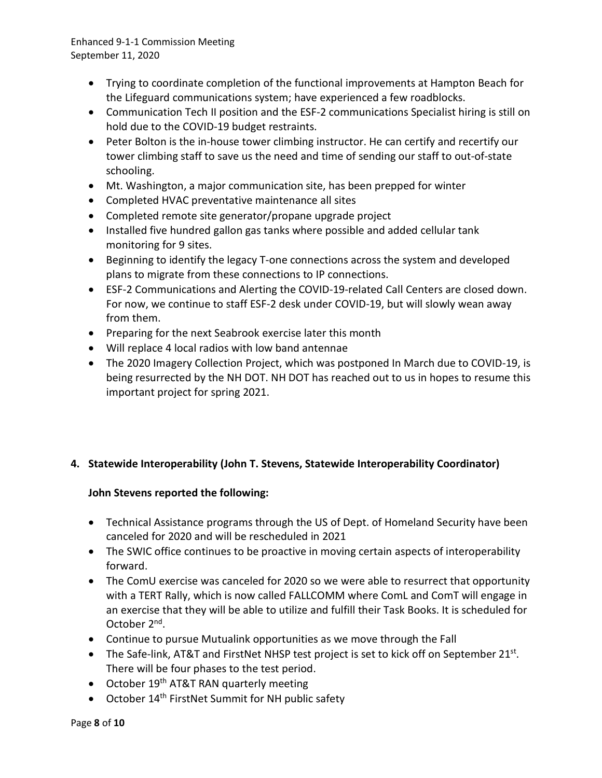- Trying to coordinate completion of the functional improvements at Hampton Beach for the Lifeguard communications system; have experienced a few roadblocks.
- Communication Tech II position and the ESF-2 communications Specialist hiring is still on hold due to the COVID-19 budget restraints.
- Peter Bolton is the in-house tower climbing instructor. He can certify and recertify our tower climbing staff to save us the need and time of sending our staff to out-of-state schooling.
- Mt. Washington, a major communication site, has been prepped for winter
- Completed HVAC preventative maintenance all sites
- Completed remote site generator/propane upgrade project
- Installed five hundred gallon gas tanks where possible and added cellular tank monitoring for 9 sites.
- Beginning to identify the legacy T-one connections across the system and developed plans to migrate from these connections to IP connections.
- ESF-2 Communications and Alerting the COVID-19-related Call Centers are closed down. For now, we continue to staff ESF-2 desk under COVID-19, but will slowly wean away from them.
- Preparing for the next Seabrook exercise later this month
- Will replace 4 local radios with low band antennae
- The 2020 Imagery Collection Project, which was postponed In March due to COVID-19, is being resurrected by the NH DOT. NH DOT has reached out to us in hopes to resume this important project for spring 2021.

## **4. Statewide Interoperability (John T. Stevens, Statewide Interoperability Coordinator)**

## **John Stevens reported the following:**

- Technical Assistance programs through the US of Dept. of Homeland Security have been canceled for 2020 and will be rescheduled in 2021
- The SWIC office continues to be proactive in moving certain aspects of interoperability forward.
- The ComU exercise was canceled for 2020 so we were able to resurrect that opportunity with a TERT Rally, which is now called FALLCOMM where ComL and ComT will engage in an exercise that they will be able to utilize and fulfill their Task Books. It is scheduled for October 2nd.
- Continue to pursue Mutualink opportunities as we move through the Fall
- The Safe-link, AT&T and FirstNet NHSP test project is set to kick off on September  $21^{st}$ . There will be four phases to the test period.
- October 19<sup>th</sup> AT&T RAN quarterly meeting
- October 14<sup>th</sup> FirstNet Summit for NH public safety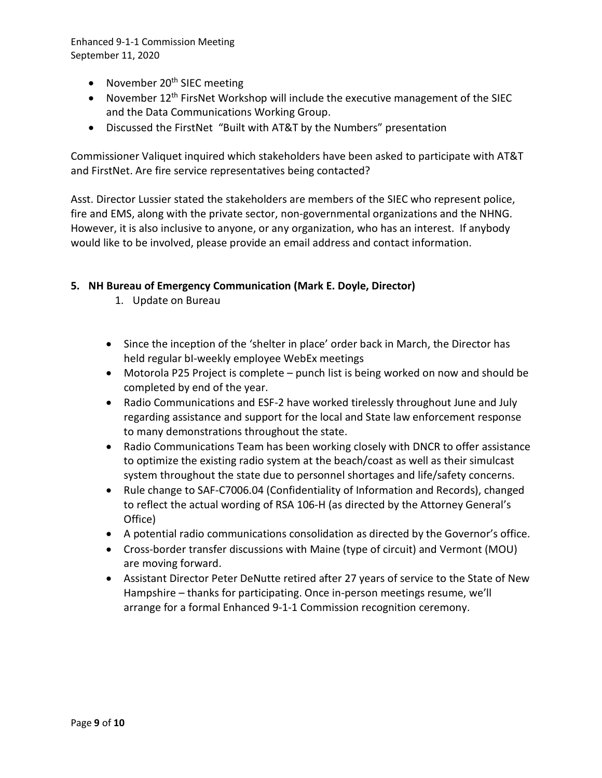- November  $20<sup>th</sup>$  SIEC meeting
- November  $12<sup>th</sup>$  FirsNet Workshop will include the executive management of the SIEC and the Data Communications Working Group.
- Discussed the FirstNet "Built with AT&T by the Numbers" presentation

Commissioner Valiquet inquired which stakeholders have been asked to participate with AT&T and FirstNet. Are fire service representatives being contacted?

Asst. Director Lussier stated the stakeholders are members of the SIEC who represent police, fire and EMS, along with the private sector, non-governmental organizations and the NHNG. However, it is also inclusive to anyone, or any organization, who has an interest. If anybody would like to be involved, please provide an email address and contact information.

## **5. NH Bureau of Emergency Communication (Mark E. Doyle, Director)**

- 1. Update on Bureau
- Since the inception of the 'shelter in place' order back in March, the Director has held regular bI-weekly employee WebEx meetings
- Motorola P25 Project is complete punch list is being worked on now and should be completed by end of the year.
- Radio Communications and ESF-2 have worked tirelessly throughout June and July regarding assistance and support for the local and State law enforcement response to many demonstrations throughout the state.
- Radio Communications Team has been working closely with DNCR to offer assistance to optimize the existing radio system at the beach/coast as well as their simulcast system throughout the state due to personnel shortages and life/safety concerns.
- Rule change to SAF-C7006.04 (Confidentiality of Information and Records), changed to reflect the actual wording of RSA 106-H (as directed by the Attorney General's Office)
- A potential radio communications consolidation as directed by the Governor's office.
- Cross-border transfer discussions with Maine (type of circuit) and Vermont (MOU) are moving forward.
- Assistant Director Peter DeNutte retired after 27 years of service to the State of New Hampshire – thanks for participating. Once in-person meetings resume, we'll arrange for a formal Enhanced 9-1-1 Commission recognition ceremony.